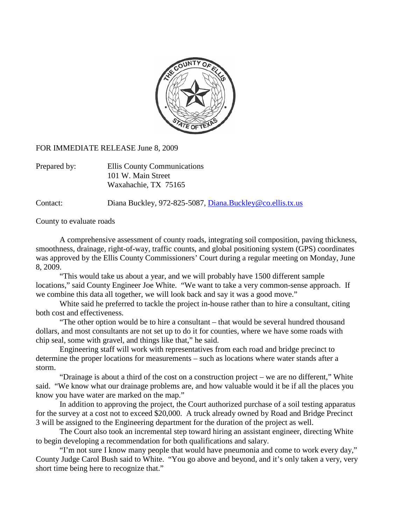

FOR IMMEDIATE RELEASE June 8, 2009

| Prepared by: | Ellis County Communications |
|--------------|-----------------------------|
|              | 101 W. Main Street          |
|              | Waxahachie, TX 75165        |

Contact: Diana Buckley, 972-825-5087, [Diana.Buckley@co.ellis.tx.us](mailto:Diana.Buckley@co.ellis.tx.us)

County to evaluate roads

A comprehensive assessment of county roads, integrating soil composition, paving thickness, smoothness, drainage, right-of-way, traffic counts, and global positioning system (GPS) coordinates was approved by the Ellis County Commissioners' Court during a regular meeting on Monday, June 8, 2009.

"This would take us about a year, and we will probably have 1500 different sample locations," said County Engineer Joe White. "We want to take a very common-sense approach. If we combine this data all together, we will look back and say it was a good move."

White said he preferred to tackle the project in-house rather than to hire a consultant, citing both cost and effectiveness.

"The other option would be to hire a consultant – that would be several hundred thousand dollars, and most consultants are not set up to do it for counties, where we have some roads with chip seal, some with gravel, and things like that," he said.

Engineering staff will work with representatives from each road and bridge precinct to determine the proper locations for measurements – such as locations where water stands after a storm.

"Drainage is about a third of the cost on a construction project – we are no different," White said. "We know what our drainage problems are, and how valuable would it be if all the places you know you have water are marked on the map."

In addition to approving the project, the Court authorized purchase of a soil testing apparatus for the survey at a cost not to exceed \$20,000. A truck already owned by Road and Bridge Precinct 3 will be assigned to the Engineering department for the duration of the project as well.

The Court also took an incremental step toward hiring an assistant engineer, directing White to begin developing a recommendation for both qualifications and salary.

"I'm not sure I know many people that would have pneumonia and come to work every day," County Judge Carol Bush said to White. "You go above and beyond, and it's only taken a very, very short time being here to recognize that."